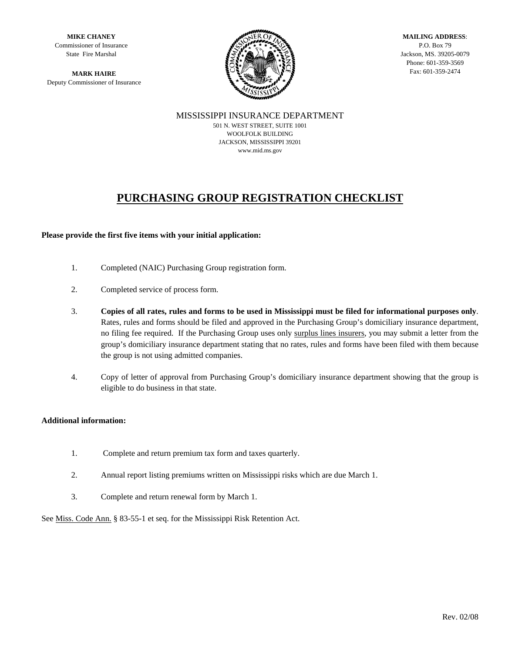**MIKE CHANEY**  Commissioner of Insurance State Fire Marshal

Deputy Commissioner of Insurance



**MAILING ADDRESS**: P.O. Box 79 Jackson, MS. 39205-0079 Phone: 601-359-3569

MISSISSIPPI INSURANCE DEPARTMENT 501 N. WEST STREET, SUITE 1001 WOOLFOLK BUILDING JACKSON, MISSISSIPPI 39201 www.mid.ms.gov

# **PURCHASING GROUP REGISTRATION CHECKLIST**

#### **Please provide the first five items with your initial application:**

- 1. Completed (NAIC) Purchasing Group registration form.
- 2. Completed service of process form.
- 3. **Copies of all rates, rules and forms to be used in Mississippi must be filed for informational purposes only**. Rates, rules and forms should be filed and approved in the Purchasing Group's domiciliary insurance department, no filing fee required. If the Purchasing Group uses only surplus lines insurers, you may submit a letter from the group's domiciliary insurance department stating that no rates, rules and forms have been filed with them because the group is not using admitted companies.
- 4. Copy of letter of approval from Purchasing Group's domiciliary insurance department showing that the group is eligible to do business in that state.

#### **Additional information:**

- 1. Complete and return premium tax form and taxes quarterly.
- 2. Annual report listing premiums written on Mississippi risks which are due March 1.
- 3. Complete and return renewal form by March 1.

See Miss. Code Ann. § 83-55-1 et seq. for the Mississippi Risk Retention Act.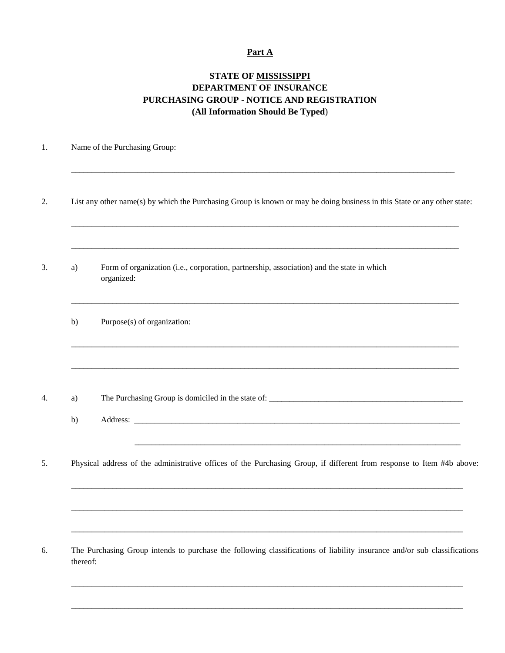#### **Part A**

# **STATE OF MISSISSIPPI DEPARTMENT OF INSURANCE PURCHASING GROUP - NOTICE AND REGISTRATION (All Information Should Be Typed**)

#### 1. Name of the Purchasing Group:

2. List any other name(s) by which the Purchasing Group is known or may be doing business in this State or any other state:

 $\mathcal{L}_\mathcal{L} = \mathcal{L}_\mathcal{L} = \mathcal{L}_\mathcal{L} = \mathcal{L}_\mathcal{L} = \mathcal{L}_\mathcal{L} = \mathcal{L}_\mathcal{L} = \mathcal{L}_\mathcal{L} = \mathcal{L}_\mathcal{L} = \mathcal{L}_\mathcal{L} = \mathcal{L}_\mathcal{L} = \mathcal{L}_\mathcal{L} = \mathcal{L}_\mathcal{L} = \mathcal{L}_\mathcal{L} = \mathcal{L}_\mathcal{L} = \mathcal{L}_\mathcal{L} = \mathcal{L}_\mathcal{L} = \mathcal{L}_\mathcal{L}$ 

\_\_\_\_\_\_\_\_\_\_\_\_\_\_\_\_\_\_\_\_\_\_\_\_\_\_\_\_\_\_\_\_\_\_\_\_\_\_\_\_\_\_\_\_\_\_\_\_\_\_\_\_\_\_\_\_\_\_\_\_\_\_\_\_\_\_\_\_\_\_\_\_\_\_\_\_\_\_\_\_\_\_\_\_\_\_\_\_\_\_\_\_\_

\_\_\_\_\_\_\_\_\_\_\_\_\_\_\_\_\_\_\_\_\_\_\_\_\_\_\_\_\_\_\_\_\_\_\_\_\_\_\_\_\_\_\_\_\_\_\_\_\_\_\_\_\_\_\_\_\_\_\_\_\_\_\_\_\_\_\_\_\_\_\_\_\_\_\_\_\_\_\_\_\_\_\_\_\_\_\_\_\_\_\_\_\_\_

\_\_\_\_\_\_\_\_\_\_\_\_\_\_\_\_\_\_\_\_\_\_\_\_\_\_\_\_\_\_\_\_\_\_\_\_\_\_\_\_\_\_\_\_\_\_\_\_\_\_\_\_\_\_\_\_\_\_\_\_\_\_\_\_\_\_\_\_\_\_\_\_\_\_\_\_\_\_\_\_\_\_\_\_\_\_\_\_\_\_\_\_\_\_

\_\_\_\_\_\_\_\_\_\_\_\_\_\_\_\_\_\_\_\_\_\_\_\_\_\_\_\_\_\_\_\_\_\_\_\_\_\_\_\_\_\_\_\_\_\_\_\_\_\_\_\_\_\_\_\_\_\_\_\_\_\_\_\_\_\_\_\_\_\_\_\_\_\_\_\_\_\_\_\_\_\_\_\_\_\_\_\_\_\_\_\_\_\_

\_\_\_\_\_\_\_\_\_\_\_\_\_\_\_\_\_\_\_\_\_\_\_\_\_\_\_\_\_\_\_\_\_\_\_\_\_\_\_\_\_\_\_\_\_\_\_\_\_\_\_\_\_\_\_\_\_\_\_\_\_\_\_\_\_\_\_\_\_\_\_\_\_\_\_\_\_\_\_\_\_\_\_\_\_\_\_\_\_\_\_\_\_\_

- 3. a) Form of organization (i.e., corporation, partnership, association) and the state in which organized:
	- b) Purpose(s) of organization:

- 4. a) The Purchasing Group is domiciled in the state of: \_\_\_\_\_\_\_\_\_\_\_\_\_\_\_\_\_\_\_\_\_\_\_\_\_\_\_\_\_\_\_\_\_\_\_\_\_\_\_\_\_\_\_\_\_\_\_
	- b) Address:
- 5. Physical address of the administrative offices of the Purchasing Group, if different from response to Item #4b above:

\_\_\_\_\_\_\_\_\_\_\_\_\_\_\_\_\_\_\_\_\_\_\_\_\_\_\_\_\_\_\_\_\_\_\_\_\_\_\_\_\_\_\_\_\_\_\_\_\_\_\_\_\_\_\_\_\_\_\_\_\_\_\_\_\_\_\_\_\_\_\_\_\_\_\_\_\_\_\_\_\_\_\_\_\_\_\_\_\_\_\_\_\_\_\_

\_\_\_\_\_\_\_\_\_\_\_\_\_\_\_\_\_\_\_\_\_\_\_\_\_\_\_\_\_\_\_\_\_\_\_\_\_\_\_\_\_\_\_\_\_\_\_\_\_\_\_\_\_\_\_\_\_\_\_\_\_\_\_\_\_\_\_\_\_\_\_\_\_\_\_\_\_\_\_\_\_\_\_\_\_\_\_\_\_\_\_\_\_\_\_

\_\_\_\_\_\_\_\_\_\_\_\_\_\_\_\_\_\_\_\_\_\_\_\_\_\_\_\_\_\_\_\_\_\_\_\_\_\_\_\_\_\_\_\_\_\_\_\_\_\_\_\_\_\_\_\_\_\_\_\_\_\_\_\_\_\_\_\_\_\_\_\_\_\_\_\_\_\_\_\_\_\_\_\_\_\_\_\_\_\_\_\_\_\_\_

\_\_\_\_\_\_\_\_\_\_\_\_\_\_\_\_\_\_\_\_\_\_\_\_\_\_\_\_\_\_\_\_\_\_\_\_\_\_\_\_\_\_\_\_\_\_\_\_\_\_\_\_\_\_\_\_\_\_\_\_\_\_\_\_\_\_\_\_\_\_\_\_\_\_\_\_\_\_\_\_\_\_\_\_\_\_\_\_\_\_\_\_\_\_\_

\_\_\_\_\_\_\_\_\_\_\_\_\_\_\_\_\_\_\_\_\_\_\_\_\_\_\_\_\_\_\_\_\_\_\_\_\_\_\_\_\_\_\_\_\_\_\_\_\_\_\_\_\_\_\_\_\_\_\_\_\_\_\_\_\_\_\_\_\_\_\_\_\_\_\_\_\_\_\_\_\_\_\_\_\_\_\_\_\_\_\_\_\_\_\_

\_\_\_\_\_\_\_\_\_\_\_\_\_\_\_\_\_\_\_\_\_\_\_\_\_\_\_\_\_\_\_\_\_\_\_\_\_\_\_\_\_\_\_\_\_\_\_\_\_\_\_\_\_\_\_\_\_\_\_\_\_\_\_\_\_\_\_\_\_\_\_\_\_\_\_\_\_\_\_

6. The Purchasing Group intends to purchase the following classifications of liability insurance and/or sub classifications thereof: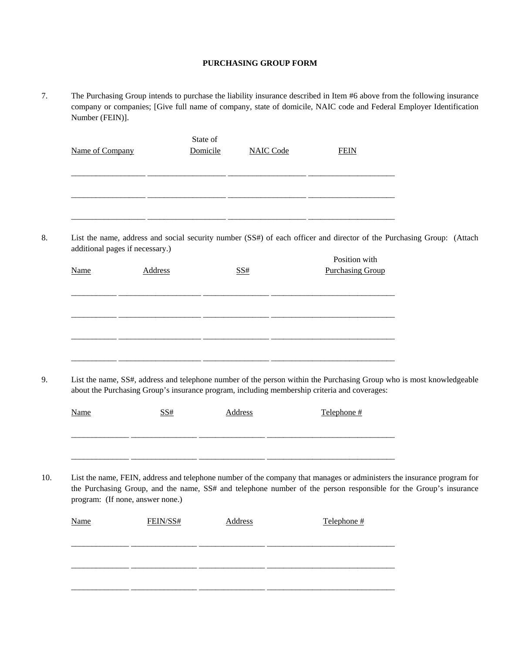#### **PURCHASING GROUP FORM**

7. The Purchasing Group intends to purchase the liability insurance described in Item #6 above from the following insurance company or companies; [Give full name of company, state of domicile, NAIC code and Federal Employer Identification Number (FEIN)].

| Name of Company |                                 | State of<br>Domicile | <b>NAIC Code</b> | <b>FEIN</b>                              |                                                                                                                       |  |
|-----------------|---------------------------------|----------------------|------------------|------------------------------------------|-----------------------------------------------------------------------------------------------------------------------|--|
|                 |                                 |                      |                  |                                          |                                                                                                                       |  |
|                 |                                 |                      |                  |                                          |                                                                                                                       |  |
|                 |                                 |                      |                  |                                          |                                                                                                                       |  |
|                 |                                 |                      |                  |                                          | List the name, address and social security number (SS#) of each officer and director of the Purchasing Group: (Attach |  |
|                 | additional pages if necessary.) |                      |                  |                                          |                                                                                                                       |  |
| <b>Name</b>     | <b>Address</b>                  |                      | SS#              | Position with<br><b>Purchasing Group</b> |                                                                                                                       |  |
|                 |                                 |                      |                  |                                          |                                                                                                                       |  |
|                 |                                 |                      |                  |                                          |                                                                                                                       |  |
|                 |                                 |                      |                  |                                          |                                                                                                                       |  |
|                 |                                 |                      |                  |                                          |                                                                                                                       |  |
|                 |                                 |                      |                  |                                          |                                                                                                                       |  |

9. List the name, SS#, address and telephone number of the person within the Purchasing Group who is most knowledgeable about the Purchasing Group's insurance program, including membership criteria and coverages:

|     | Name                             | SS# | Address | Telephone #                                                                                                                                                                                                                                |  |
|-----|----------------------------------|-----|---------|--------------------------------------------------------------------------------------------------------------------------------------------------------------------------------------------------------------------------------------------|--|
|     |                                  |     |         |                                                                                                                                                                                                                                            |  |
|     |                                  |     |         |                                                                                                                                                                                                                                            |  |
| 10. | program: (If none, answer none.) |     |         | List the name, FEIN, address and telephone number of the company that manages or administers the insurance program for<br>the Purchasing Group, and the name, SS# and telephone number of the person responsible for the Group's insurance |  |

| Name | FEIN/SS# | <b>Address</b> | Telephone # |
|------|----------|----------------|-------------|
|      |          |                |             |
|      |          |                |             |
|      |          |                |             |
|      |          |                |             |
|      |          |                |             |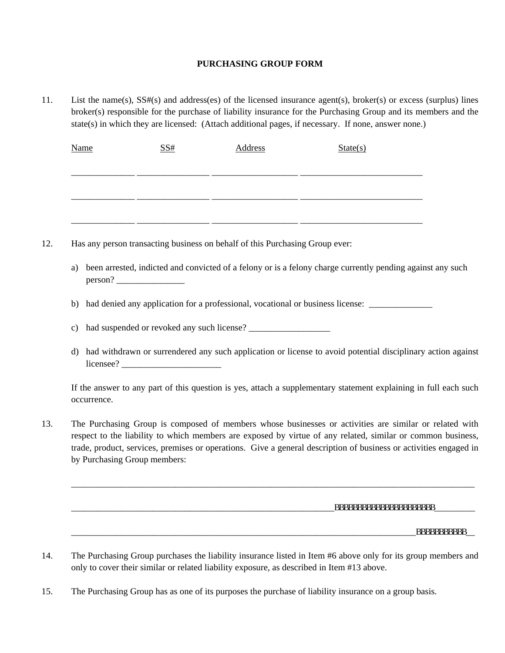## **PURCHASING GROUP FORM**

11. List the name(s), SS#(s) and address(es) of the licensed insurance agent(s), broker(s) or excess (surplus) lines broker(s) responsible for the purchase of liability insurance for the Purchasing Group and its members and the state(s) in which they are licensed: (Attach additional pages, if necessary. If none, answer none.)

| <b>Name</b>                  | SS# | <b>Address</b>                                                               | State(s)                                                                                                                                                                                                                                                                                                                                   |
|------------------------------|-----|------------------------------------------------------------------------------|--------------------------------------------------------------------------------------------------------------------------------------------------------------------------------------------------------------------------------------------------------------------------------------------------------------------------------------------|
|                              |     |                                                                              |                                                                                                                                                                                                                                                                                                                                            |
|                              |     |                                                                              |                                                                                                                                                                                                                                                                                                                                            |
|                              |     | Has any person transacting business on behalf of this Purchasing Group ever: |                                                                                                                                                                                                                                                                                                                                            |
| a)                           |     |                                                                              | been arrested, indicted and convicted of a felony or is a felony charge currently pending against any such                                                                                                                                                                                                                                 |
| b)                           |     |                                                                              | had denied any application for a professional, vocational or business license:                                                                                                                                                                                                                                                             |
| c)                           |     |                                                                              |                                                                                                                                                                                                                                                                                                                                            |
| $\mathbf{d}$                 |     |                                                                              | had withdrawn or surrendered any such application or license to avoid potential disciplinary action against                                                                                                                                                                                                                                |
| occurrence.                  |     |                                                                              | If the answer to any part of this question is yes, attach a supplementary statement explaining in full each such                                                                                                                                                                                                                           |
| by Purchasing Group members: |     |                                                                              | The Purchasing Group is composed of members whose businesses or activities are similar or related with<br>respect to the liability to which members are exposed by virtue of any related, similar or common business,<br>trade, product, services, premises or operations. Give a general description of business or activities engaged in |
|                              |     |                                                                              |                                                                                                                                                                                                                                                                                                                                            |
|                              |     |                                                                              | _aaaaaaaaaaaaaaaaaaaaaa_____________                                                                                                                                                                                                                                                                                                       |
|                              |     |                                                                              | _aaaaaaaaaaa__                                                                                                                                                                                                                                                                                                                             |

15. The Purchasing Group has as one of its purposes the purchase of liability insurance on a group basis.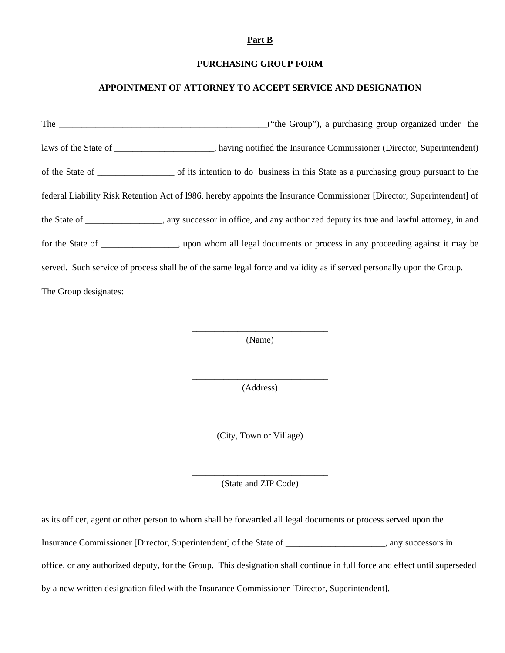#### **Part B**

#### **PURCHASING GROUP FORM**

#### **APPOINTMENT OF ATTORNEY TO ACCEPT SERVICE AND DESIGNATION**

The \_\_\_\_\_\_\_\_\_\_\_\_\_\_\_\_\_\_\_\_\_\_\_\_\_\_\_\_\_\_\_\_\_\_\_\_\_\_\_\_\_\_\_\_\_\_("the Group"), a purchasing group organized under the laws of the State of \_\_\_\_\_\_\_\_\_\_\_\_\_\_\_, having notified the Insurance Commissioner (Director, Superintendent) of the State of \_\_\_\_\_\_\_\_\_\_\_\_\_\_\_\_\_ of its intention to do business in this State as a purchasing group pursuant to the federal Liability Risk Retention Act of l986, hereby appoints the Insurance Commissioner [Director, Superintendent] of the State of \_\_\_\_\_\_\_\_\_\_\_\_\_\_\_\_\_, any successor in office, and any authorized deputy its true and lawful attorney, in and for the State of \_\_\_\_\_\_\_\_\_\_\_\_\_\_\_\_\_, upon whom all legal documents or process in any proceeding against it may be served. Such service of process shall be of the same legal force and validity as if served personally upon the Group. The Group designates:

> \_\_\_\_\_\_\_\_\_\_\_\_\_\_\_\_\_\_\_\_\_\_\_\_\_\_\_\_\_\_ (Name)

> \_\_\_\_\_\_\_\_\_\_\_\_\_\_\_\_\_\_\_\_\_\_\_\_\_\_\_\_\_\_ (Address)

> \_\_\_\_\_\_\_\_\_\_\_\_\_\_\_\_\_\_\_\_\_\_\_\_\_\_\_\_\_\_ (City, Town or Village)

> \_\_\_\_\_\_\_\_\_\_\_\_\_\_\_\_\_\_\_\_\_\_\_\_\_\_\_\_\_\_ (State and ZIP Code)

as its officer, agent or other person to whom shall be forwarded all legal documents or process served upon the Insurance Commissioner [Director, Superintendent] of the State of \_\_\_\_\_\_\_\_\_\_\_\_\_\_\_\_\_\_\_\_\_\_, any successors in office, or any authorized deputy, for the Group. This designation shall continue in full force and effect until superseded by a new written designation filed with the Insurance Commissioner [Director, Superintendent].